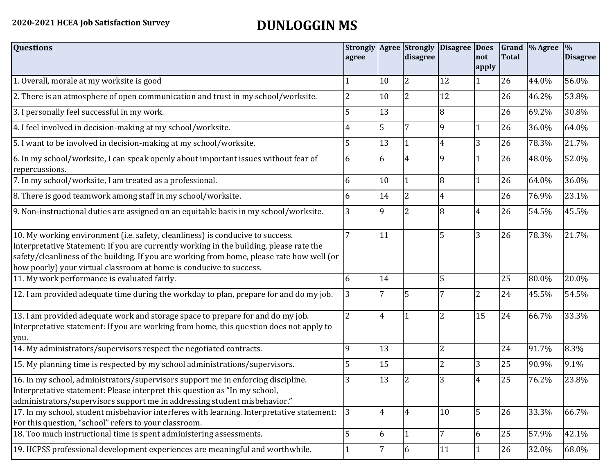## **2020-2021 HCEA Job Satisfaction Survey DUNLOGGIN MS**

| <b>Questions</b>                                                                                                                                                                                                                                                                                                                               | agree          |    | <b>Strongly Agree Strongly</b><br>disagree | Disagree Does  | Inot<br>apply | Total | Grand  % Agree | $\frac{1}{2}$<br><b>Disagree</b> |
|------------------------------------------------------------------------------------------------------------------------------------------------------------------------------------------------------------------------------------------------------------------------------------------------------------------------------------------------|----------------|----|--------------------------------------------|----------------|---------------|-------|----------------|----------------------------------|
| 1. Overall, morale at my worksite is good                                                                                                                                                                                                                                                                                                      |                | 10 | 2                                          | 12             | $\vert$ 1     | 26    | 44.0%          | 56.0%                            |
| 2. There is an atmosphere of open communication and trust in my school/worksite.                                                                                                                                                                                                                                                               | 2              | 10 | <sup>2</sup>                               | 12             |               | 26    | 46.2%          | 53.8%                            |
| 3. I personally feel successful in my work.                                                                                                                                                                                                                                                                                                    | 5              | 13 |                                            | 8              |               | 26    | 69.2%          | 30.8%                            |
| 4. I feel involved in decision-making at my school/worksite.                                                                                                                                                                                                                                                                                   | 4              | 5  |                                            | 9              | 1             | 26    | 36.0%          | 64.0%                            |
| 5. I want to be involved in decision-making at my school/worksite.                                                                                                                                                                                                                                                                             | 5              | 13 |                                            | 4              | 3             | 26    | 78.3%          | 21.7%                            |
| 6. In my school/worksite, I can speak openly about important issues without fear of<br>repercussions.                                                                                                                                                                                                                                          | 6              | 6  | 4                                          | $\mathbf{Q}$   |               | 26    | 48.0%          | 52.0%                            |
| 7. In my school/worksite, I am treated as a professional.                                                                                                                                                                                                                                                                                      | 6              | 10 | 1                                          | 8              | $\vert$ 1     | 26    | 64.0%          | 36.0%                            |
| 8. There is good teamwork among staff in my school/worksite.                                                                                                                                                                                                                                                                                   | 6              | 14 | $\overline{2}$                             | 4              |               | 26    | 76.9%          | 23.1%                            |
| 9. Non-instructional duties are assigned on an equitable basis in my school/worksite.                                                                                                                                                                                                                                                          | 3              | 9  |                                            | 8              | 4             | 26    | 54.5%          | 45.5%                            |
| 10. My working environment (i.e. safety, cleanliness) is conducive to success.<br>Interpretative Statement: If you are currently working in the building, please rate the<br>safety/cleanliness of the building. If you are working from home, please rate how well (or<br>how poorly) your virtual classroom at home is conducive to success. |                | 11 |                                            | 5              | 3             | 26    | 78.3%          | 21.7%                            |
| 11. My work performance is evaluated fairly.                                                                                                                                                                                                                                                                                                   | 6              | 14 |                                            | 5              |               | 25    | 80.0%          | 20.0%                            |
| 12. I am provided adequate time during the workday to plan, prepare for and do my job.                                                                                                                                                                                                                                                         | 3              |    | 5                                          |                | 2             | 24    | 45.5%          | 54.5%                            |
| 13. I am provided adequate work and storage space to prepare for and do my job.<br>Interpretative statement: If you are working from home, this question does not apply to<br>you.                                                                                                                                                             | $\overline{2}$ | 4  |                                            | $\overline{2}$ | 15            | 24    | 66.7%          | 33.3%                            |
| 14. My administrators/supervisors respect the negotiated contracts.                                                                                                                                                                                                                                                                            | 9              | 13 |                                            | 2              |               | 24    | 91.7%          | 8.3%                             |
| 15. My planning time is respected by my school administrations/supervisors.                                                                                                                                                                                                                                                                    | 5              | 15 |                                            |                | 3             | 25    | 90.9%          | 9.1%                             |
| 16. In my school, administrators/supervisors support me in enforcing discipline.<br>Interpretative statement: Please interpret this question as "In my school,<br>administrators/supervisors support me in addressing student misbehavior."                                                                                                    | 3              | 13 | 2                                          |                | 4             | 25    | 76.2%          | 23.8%                            |
| 17. In my school, student misbehavior interferes with learning. Interpretative statement:<br>For this question, "school" refers to your classroom.                                                                                                                                                                                             | 3              | 4  | $\overline{4}$                             | 10             | 5             | 26    | 33.3%          | 66.7%                            |
| 18. Too much instructional time is spent administering assessments.                                                                                                                                                                                                                                                                            | 5              | 6  |                                            |                | 6             | 25    | 57.9%          | 42.1%                            |
| 19. HCPSS professional development experiences are meaningful and worthwhile.                                                                                                                                                                                                                                                                  |                | 7  | 6                                          | 11             | $\mathbf{1}$  | 26    | 32.0%          | 68.0%                            |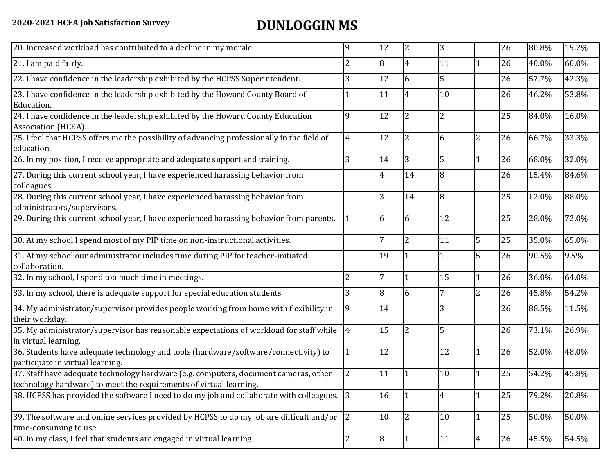## **2020-2021 HCEA Job Satisfaction Survey DUNLOGGIN MS**

| 20. Increased workload has contributed to a decline in my morale.                                                                                          | 9              | 12             | $\vert$ 2               | 3  |                | 26 | 80.8% | 19.2% |
|------------------------------------------------------------------------------------------------------------------------------------------------------------|----------------|----------------|-------------------------|----|----------------|----|-------|-------|
| 21. I am paid fairly.                                                                                                                                      | 2              | 8              | 4                       | 11 | 1              | 26 | 40.0% | 60.0% |
| 22. I have confidence in the leadership exhibited by the HCPSS Superintendent.                                                                             | 3              | 12             | 6                       | 5  |                | 26 | 57.7% | 42.3% |
| 23. I have confidence in the leadership exhibited by the Howard County Board of<br>Education.                                                              |                | 11             | $\overline{4}$          | 10 |                | 26 | 46.2% | 53.8% |
| 24. I have confidence in the leadership exhibited by the Howard County Education<br>Association (HCEA).                                                    | 9              | 12             | $\overline{2}$          | 2  |                | 25 | 84.0% | 16.0% |
| 25. I feel that HCPSS offers me the possibility of advancing professionally in the field of<br>education.                                                  | 4              | 12             | $\overline{2}$          | 6  | $\overline{2}$ | 26 | 66.7% | 33.3% |
| 26. In my position, I receive appropriate and adequate support and training.                                                                               | 3              | 14             | 3                       | 5  | $\mathbf{1}$   | 26 | 68.0% | 32.0% |
| 27. During this current school year, I have experienced harassing behavior from<br>colleagues.                                                             |                | 4              | 14                      | 8  |                | 26 | 15.4% | 84.6% |
| 28. During this current school year, I have experienced harassing behavior from<br>administrators/supervisors.                                             |                | 3              | 14                      | 8  |                | 25 | 12.0% | 88.0% |
| 29. During this current school year, I have experienced harassing behavior from parents.                                                                   |                | 6              | 6                       | 12 |                | 25 | 28.0% | 72.0% |
| 30. At my school I spend most of my PIP time on non-instructional activities.                                                                              |                | $\overline{7}$ | 2                       | 11 | 5              | 25 | 35.0% | 65.0% |
| 31. At my school our administrator includes time during PIP for teacher-initiated<br>collaboration.                                                        |                | 19             |                         |    | 5              | 26 | 90.5% | 9.5%  |
| 32. In my school, I spend too much time in meetings.                                                                                                       | 2              | $\overline{7}$ | $\overline{\mathbf{1}}$ | 15 | $\mathbf{1}$   | 26 | 36.0% | 64.0% |
| 33. In my school, there is adequate support for special education students.                                                                                | 3              | 8              | 6                       | 7  | $\overline{2}$ | 26 | 45.8% | 54.2% |
| 34. My administrator/supervisor provides people working from home with flexibility in<br>their workday.                                                    | 9              | 14             |                         | 3  |                | 26 | 88.5% | 11.5% |
| 35. My administrator/supervisor has reasonable expectations of workload for staff while<br>in virtual learning.                                            | $\overline{4}$ | 15             | $\overline{2}$          | 5  |                | 26 | 73.1% | 26.9% |
| 36. Students have adequate technology and tools (hardware/software/connectivity) to<br>participate in virtual learning.                                    |                | 12             |                         | 12 | $\mathbf{1}$   | 26 | 52.0% | 48.0% |
| 37. Staff have adequate technology hardware (e.g. computers, document cameras, other<br>technology hardware) to meet the requirements of virtual learning. | 2              | 11             |                         | 10 | $\mathbf{1}$   | 25 | 54.2% | 45.8% |
| 38. HCPSS has provided the software I need to do my job and collaborate with colleagues.                                                                   | 3              | 16             | 11                      | 4  | 1              | 25 | 79.2% | 20.8% |
| 39. The software and online services provided by HCPSS to do my job are difficult and/or<br>time-consuming to use.                                         | 2              | 10             | 12                      | 10 | $\mathbf{1}$   | 25 | 50.0% | 50.0% |
| 40. In my class, I feel that students are engaged in virtual learning                                                                                      | 2              | 8              | 11                      | 11 | $\overline{4}$ | 26 | 45.5% | 54.5% |
|                                                                                                                                                            |                |                |                         |    |                |    |       |       |